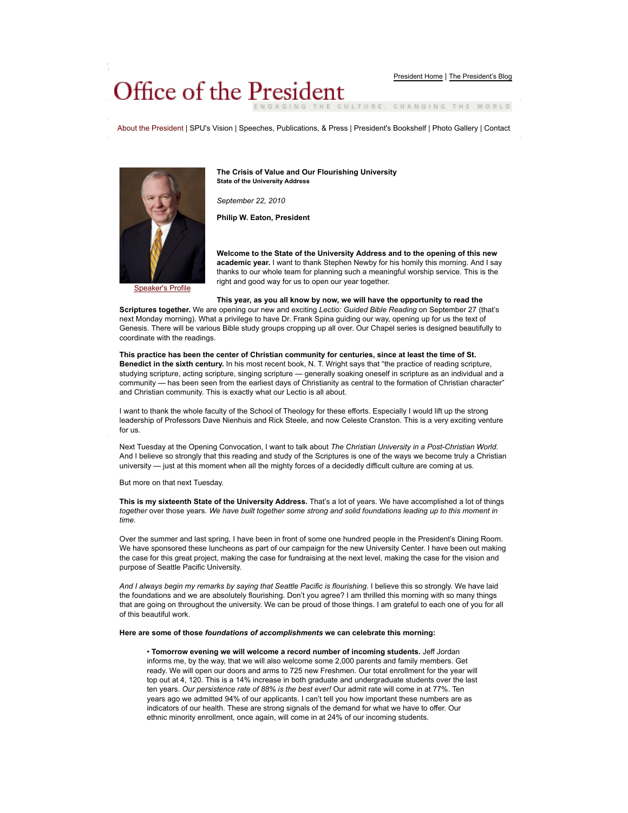# Office of the President

GAGING THE CULTURE. CHANGING THE WORLD

About the President | SPU's Vision | Speeches, Publications, & Press | President's Bookshelf | Photo Gallery | Contact



Speaker's Profile

**The Crisis of Value and Our Flourishing University State of the University Address**

*September 22, 2010*

**Philip W. Eaton, President**

**Welcome to the State of the University Address and to the opening of this new academic year.** I want to thank Stephen Newby for his homily this morning. And I say thanks to our whole team for planning such a meaningful worship service. This is the right and good way for us to open our year together.

#### **This year, as you all know by now, we will have the opportunity to read the**

**Scriptures together.** We are opening our new and exciting *Lectio: Guided Bible Reading* on September 27 (that's next Monday morning). What a privilege to have Dr. Frank Spina guiding our way, opening up for us the text of Genesis. There will be various Bible study groups cropping up all over. Our Chapel series is designed beautifully to coordinate with the readings.

## **This practice has been the center of Christian community for centuries, since at least the time of St. Benedict in the sixth century.** In his most recent book, N. T. Wright says that "the practice of reading scripture, studying scripture, acting scripture, singing scripture — generally soaking oneself in scripture as an individual and a community — has been seen from the earliest days of Christianity as central to the formation of Christian character" and Christian community. This is exactly what our Lectio is all about.

I want to thank the whole faculty of the School of Theology for these efforts. Especially I would lift up the strong leadership of Professors Dave Nienhuis and Rick Steele, and now Celeste Cranston. This is a very exciting venture for us.

Next Tuesday at the Opening Convocation, I want to talk about *The Christian University in a Post-Christian World*. And I believe so strongly that this reading and study of the Scriptures is one of the ways we become truly a Christian university — just at this moment when all the mighty forces of a decidedly difficult culture are coming at us.

But more on that next Tuesday.

**This is my sixteenth State of the University Address.** That's a lot of years. We have accomplished a lot of things *together* over those years. *We have built together some strong and solid foundations leading up to this moment in time.*

Over the summer and last spring, I have been in front of some one hundred people in the President's Dining Room. We have sponsored these luncheons as part of our campaign for the new University Center. I have been out making the case for this great project, making the case for fundraising at the next level, making the case for the vision and purpose of Seattle Pacific University.

And I always begin my remarks by saying that Seattle Pacific is flourishing. I believe this so strongly. We have laid the foundations and we are absolutely flourishing. Don't you agree? I am thrilled this morning with so many things that are going on throughout the university. We can be proud of those things. I am grateful to each one of you for all of this beautiful work.

#### **Here are some of those** *foundations of accomplishments* **we can celebrate this morning:**

• **Tomorrow evening we will welcome a record number of incoming students.** Jeff Jordan informs me, by the way, that we will also welcome some 2,000 parents and family members. Get ready. We will open our doors and arms to 725 new Freshmen. Our total enrollment for the year will top out at 4, 120. This is a 14% increase in both graduate and undergraduate students over the last ten years. *Our persistence rate of 88% is the best ever!* Our admit rate will come in at 77%. Ten years ago we admitted 94% of our applicants. I can't tell you how important these numbers are as indicators of our health. These are strong signals of the demand for what we have to offer. Our ethnic minority enrollment, once again, will come in at 24% of our incoming students.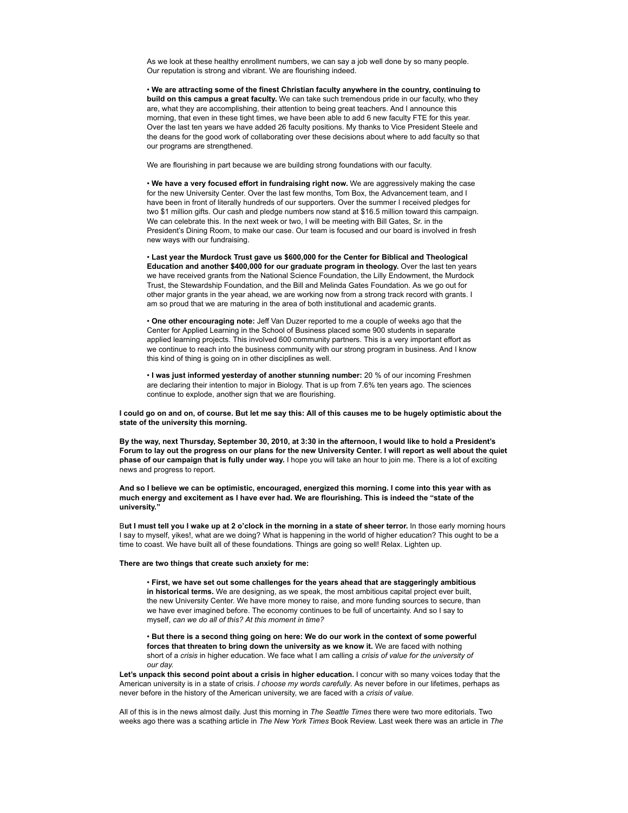As we look at these healthy enrollment numbers, we can say a job well done by so many people. Our reputation is strong and vibrant. We are flourishing indeed.

• **We are attracting some of the finest Christian faculty anywhere in the country, continuing to build on this campus a great faculty.** We can take such tremendous pride in our faculty, who they are, what they are accomplishing, their attention to being great teachers. And I announce this morning, that even in these tight times, we have been able to add 6 new faculty FTE for this year. Over the last ten years we have added 26 faculty positions. My thanks to Vice President Steele and the deans for the good work of collaborating over these decisions about where to add faculty so that our programs are strengthened.

We are flourishing in part because we are building strong foundations with our faculty.

• **We have a very focused effort in fundraising right now.** We are aggressively making the case for the new University Center. Over the last few months, Tom Box, the Advancement team, and I have been in front of literally hundreds of our supporters. Over the summer I received pledges for two \$1 million gifts. Our cash and pledge numbers now stand at \$16.5 million toward this campaign. We can celebrate this. In the next week or two, I will be meeting with Bill Gates, Sr. in the President's Dining Room, to make our case. Our team is focused and our board is involved in fresh new ways with our fundraising.

• **Last year the Murdock Trust gave us \$600,000 for the Center for Biblical and Theological Education and another \$400,000 for our graduate program in theology.** Over the last ten years we have received grants from the National Science Foundation, the Lilly Endowment, the Murdock Trust, the Stewardship Foundation, and the Bill and Melinda Gates Foundation. As we go out for other major grants in the year ahead, we are working now from a strong track record with grants. I am so proud that we are maturing in the area of both institutional and academic grants.

• **One other encouraging note:** Jeff Van Duzer reported to me a couple of weeks ago that the Center for Applied Learning in the School of Business placed some 900 students in separate applied learning projects. This involved 600 community partners. This is a very important effort as we continue to reach into the business community with our strong program in business. And I know this kind of thing is going on in other disciplines as well.

• **I was just informed yesterday of another stunning number:** 20 % of our incoming Freshmen are declaring their intention to major in Biology. That is up from 7.6% ten years ago. The sciences continue to explode, another sign that we are flourishing.

**I could go on and on, of course. But let me say this: All of this causes me to be hugely optimistic about the state of the university this morning.**

**By the way, next Thursday, September 30, 2010, at 3:30 in the afternoon, I would like to hold a President's Forum to lay out the progress on our plans for the new University Center. I will report as well about the quiet phase of our campaign that is fully under way.** I hope you will take an hour to join me. There is a lot of exciting news and progress to report.

**And so I believe we can be optimistic, encouraged, energized this morning. I come into this year with as much energy and excitement as I have ever had. We are flourishing. This is indeed the "state of the university."**

B**ut I must tell you I wake up at 2 o'clock in the morning in a state of sheer terror.** In those early morning hours I say to myself, yikes!, what are we doing? What is happening in the world of higher education? This ought to be a time to coast. We have built all of these foundations. Things are going so well! Relax. Lighten up.

# **There are two things that create such anxiety for me:**

• **First, we have set out some challenges for the years ahead that are staggeringly ambitious in historical terms.** We are designing, as we speak, the most ambitious capital project ever built, the new University Center. We have more money to raise, and more funding sources to secure, than we have ever imagined before. The economy continues to be full of uncertainty. And so I say to myself, *can we do all of this? At this moment in time?*

• **But there is a second thing going on here: We do our work in the context of some powerful forces that threaten to bring down the university as we know it.** We are faced with nothing short of a *crisis* in higher education. We face what I am calling a *crisis of value for the university of our day.*

**Let's unpack this second point about a crisis in higher education.** I concur with so many voices today that the American university is in a state of crisis. *I choose my words carefully*. As never before in our lifetimes, perhaps as never before in the history of the American university, we are faced with a *crisis of value.*

All of this is in the news almost daily. Just this morning in *The Seattle Times* there were two more editorials. Two weeks ago there was a scathing article in *The New York Times* Book Review. Last week there was an article in *The*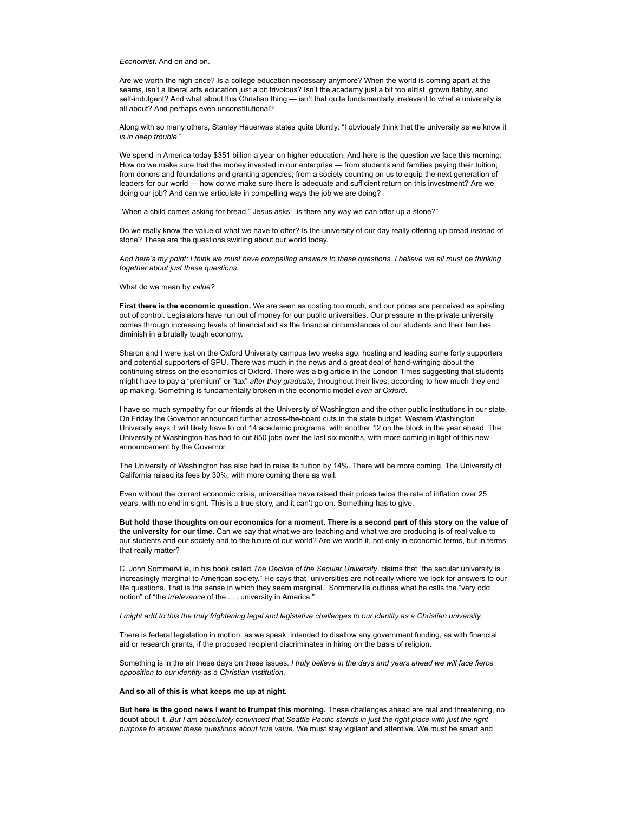### *Economist*. And on and on.

Are we worth the high price? Is a college education necessary anymore? When the world is coming apart at the seams, isn't a liberal arts education just a bit frivolous? Isn't the academy just a bit too elitist, grown flabby, and self-indulgent? And what about this Christian thing — isn't that quite fundamentally irrelevant to what a university is all about? And perhaps even unconstitutional?

Along with so many others, Stanley Hauerwas states quite bluntly: "I obviously think that the university as we know it *is in deep trouble*."

We spend in America today \$351 billion a year on higher education. And here is the question we face this morning: How do we make sure that the money invested in our enterprise — from students and families paying their tuition; from donors and foundations and granting agencies; from a society counting on us to equip the next generation of leaders for our world — how do we make sure there is adequate and sufficient return on this investment? Are we doing our job? And can we articulate in compelling ways the job we are doing?

"When a child comes asking for bread," Jesus asks, "is there any way we can offer up a stone?"

Do we really know the value of what we have to offer? Is the university of our day really offering up bread instead of stone? These are the questions swirling about our world today.

*And here's my point: I think we must have compelling answers to these questions. I believe we all must be thinking together about just these questions.*

What do we mean by *value?*

**First there is the economic question.** We are seen as costing too much, and our prices are perceived as spiraling out of control. Legislators have run out of money for our public universities. Our pressure in the private university comes through increasing levels of financial aid as the financial circumstances of our students and their families diminish in a brutally tough economy.

Sharon and I were just on the Oxford University campus two weeks ago, hosting and leading some forty supporters and potential supporters of SPU. There was much in the news and a great deal of hand-wringing about the continuing stress on the economics of Oxford. There was a big article in the London Times suggesting that students might have to pay a "premium" or "tax" *after they graduate*, throughout their lives, according to how much they end up making. Something is fundamentally broken in the economic model *even at Oxford*.

I have so much sympathy for our friends at the University of Washington and the other public institutions in our state. On Friday the Governor announced further across-the-board cuts in the state budget. Western Washington University says it will likely have to cut 14 academic programs, with another 12 on the block in the year ahead. The University of Washington has had to cut 850 jobs over the last six months, with more coming in light of this new announcement by the Governor.

The University of Washington has also had to raise its tuition by 14%. There will be more coming. The University of California raised its fees by 30%, with more coming there as well.

Even without the current economic crisis, universities have raised their prices twice the rate of inflation over 25 years, with no end in sight. This is a true story, and it can't go on. Something has to give.

**But hold those thoughts on our economics for a moment. There is a second part of this story on the value of the university for our time.** Can we say that what we are teaching and what we are producing is of real value to our students and our society and to the future of our world? Are we worth it, not only in economic terms, but in terms that really matter?

C. John Sommerville, in his book called *The Decline of the Secular University*, claims that "the secular university is increasingly marginal to American society." He says that "universities are not really where we look for answers to our life questions. That is the sense in which they seem marginal." Sommerville outlines what he calls the "very odd notion" of "the *irrelevance* of the . . . university in America."

*I might add to this the truly frightening legal and legislative challenges to our identity as a Christian university.*

There is federal legislation in motion, as we speak, intended to disallow any government funding, as with financial aid or research grants, if the proposed recipient discriminates in hiring on the basis of religion.

Something is in the air these days on these issues. *I truly believe in the days and years ahead we will face fierce opposition to our identity as a Christian institution.*

**And so all of this is what keeps me up at night.**

**But here is the good news I want to trumpet this morning.** These challenges ahead are real and threatening, no doubt about it. *But I am absolutely convinced that Seattle Pacific stands in just the right place with just the right purpose to answer these questions about true value.* We must stay vigilant and attentive. We must be smart and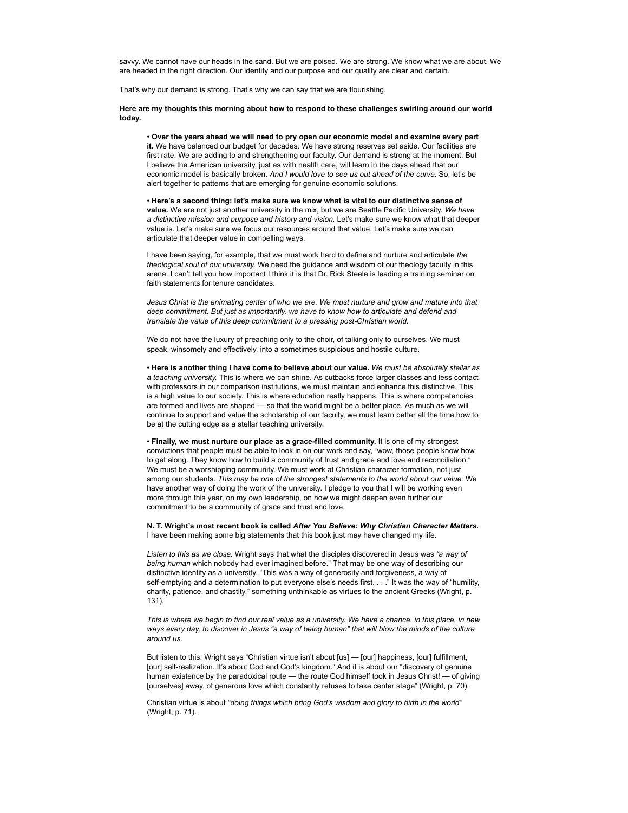savvy. We cannot have our heads in the sand. But we are poised. We are strong. We know what we are about. We are headed in the right direction. Our identity and our purpose and our quality are clear and certain.

That's why our demand is strong. That's why we can say that we are flourishing.

## **Here are my thoughts this morning about how to respond to these challenges swirling around our world today.**

• **Over the years ahead we will need to pry open our economic model and examine every part it.** We have balanced our budget for decades. We have strong reserves set aside. Our facilities are first rate. We are adding to and strengthening our faculty. Our demand is strong at the moment. But I believe the American university, just as with health care, will learn in the days ahead that our economic model is basically broken. *And I would love to see us out ahead of the curve.* So, let's be alert together to patterns that are emerging for genuine economic solutions.

• **Here's a second thing: let's make sure we know what is vital to our distinctive sense of value.** We are not just another university in the mix, but we are Seattle Pacific University. *We have a distinctive mission and purpose and history and vision.* Let's make sure we know what that deeper value is. Let's make sure we focus our resources around that value. Let's make sure we can articulate that deeper value in compelling ways.

I have been saying, for example, that we must work hard to define and nurture and articulate *the theological soul of our university.* We need the guidance and wisdom of our theology faculty in this arena. I can't tell you how important I think it is that Dr. Rick Steele is leading a training seminar on faith statements for tenure candidates.

*Jesus Christ is the animating center of who we are. We must nurture and grow and mature into that deep commitment. But just as importantly, we have to know how to articulate and defend and translate the value of this deep commitment to a pressing post-Christian world.*

We do not have the luxury of preaching only to the choir, of talking only to ourselves. We must speak, winsomely and effectively, into a sometimes suspicious and hostile culture.

• **Here is another thing I have come to believe about our value.** *We must be absolutely stellar as a teaching university.* This is where we can shine. As cutbacks force larger classes and less contact with professors in our comparison institutions, we must maintain and enhance this distinctive. This is a high value to our society. This is where education really happens. This is where competencies are formed and lives are shaped — so that the world might be a better place. As much as we will continue to support and value the scholarship of our faculty, we must learn better all the time how to be at the cutting edge as a stellar teaching university.

• **Finally, we must nurture our place as a grace-filled community.** It is one of my strongest convictions that people must be able to look in on our work and say, "wow, those people know how to get along. They know how to build a community of trust and grace and love and reconciliation." We must be a worshipping community. We must work at Christian character formation, not just among our students. *This may be one of the strongest statements to the world about our value.* We have another way of doing the work of the university. I pledge to you that I will be working even more through this year, on my own leadership, on how we might deepen even further our commitment to be a community of grace and trust and love.

**N. T. Wright's most recent book is called** *After You Believe: Why Christian Character Matters.* I have been making some big statements that this book just may have changed my life.

*Listen to this as we close.* Wright says that what the disciples discovered in Jesus was *"a way of being human* which nobody had ever imagined before." That may be one way of describing our distinctive identity as a university. "This was a way of generosity and forgiveness, a way of self-emptying and a determination to put everyone else's needs first. . . ." It was the way of "humility, charity, patience, and chastity," something unthinkable as virtues to the ancient Greeks (Wright, p. 131).

*This is where we begin to find our real value as a university. We have a chance, in this place, in new ways every day, to discover in Jesus "a way of being human" that will blow the minds of the culture around us.*

But listen to this: Wright says "Christian virtue isn't about [us] — [our] happiness, [our] fulfillment, [our] self-realization. It's about God and God's kingdom." And it is about our "discovery of genuine human existence by the paradoxical route — the route God himself took in Jesus Christ! — of giving [ourselves] away, of generous love which constantly refuses to take center stage" (Wright, p. 70).

Christian virtue is about *"doing things which bring God's wisdom and glory to birth in the world"* (Wright, p. 71).